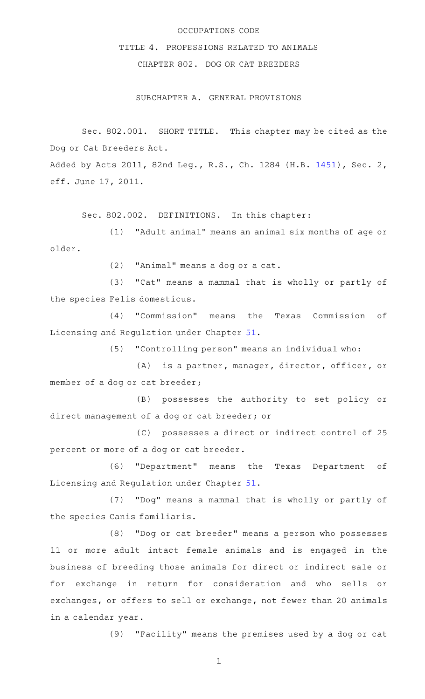#### OCCUPATIONS CODE

# TITLE 4. PROFESSIONS RELATED TO ANIMALS

# CHAPTER 802. DOG OR CAT BREEDERS

### SUBCHAPTER A. GENERAL PROVISIONS

Sec. 802.001. SHORT TITLE. This chapter may be cited as the Dog or Cat Breeders Act.

Added by Acts 2011, 82nd Leg., R.S., Ch. 1284 (H.B. [1451\)](http://www.legis.state.tx.us/tlodocs/82R/billtext/html/HB01451F.HTM), Sec. 2, eff. June 17, 2011.

Sec. 802.002. DEFINITIONS. In this chapter:

 $(1)$  "Adult animal" means an animal six months of age or older.

(2) "Animal" means a dog or a cat.

(3) "Cat" means a mammal that is wholly or partly of the species Felis domesticus.

(4) "Commission" means the Texas Commission of Licensing and Regulation under Chapter [51.](http://www.statutes.legis.state.tx.us/GetStatute.aspx?Code=OC&Value=51)

(5) "Controlling person" means an individual who:

(A) is a partner, manager, director, officer, or member of a dog or cat breeder;

(B) possesses the authority to set policy or direct management of a dog or cat breeder; or

(C) possesses a direct or indirect control of 25 percent or more of a dog or cat breeder.

(6) "Department" means the Texas Department of Licensing and Regulation under Chapter [51.](http://www.statutes.legis.state.tx.us/GetStatute.aspx?Code=OC&Value=51)

(7) "Dog" means a mammal that is wholly or partly of the species Canis familiaris.

(8) "Dog or cat breeder" means a person who possesses 11 or more adult intact female animals and is engaged in the business of breeding those animals for direct or indirect sale or for exchange in return for consideration and who sells or exchanges, or offers to sell or exchange, not fewer than 20 animals in a calendar year.

(9) "Facility" means the premises used by a dog or cat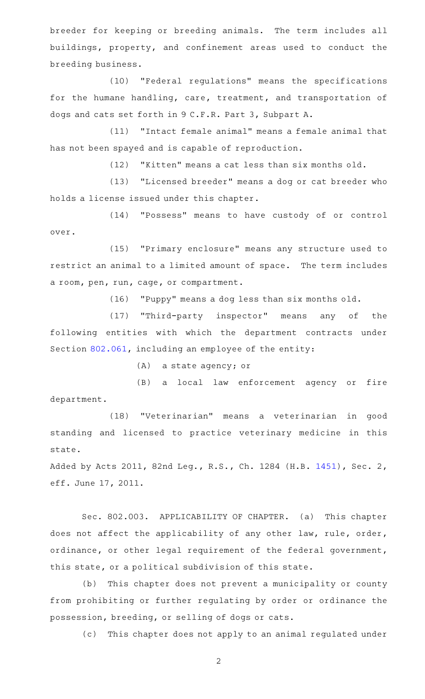breeder for keeping or breeding animals. The term includes all buildings, property, and confinement areas used to conduct the breeding business.

(10) "Federal regulations" means the specifications for the humane handling, care, treatment, and transportation of dogs and cats set forth in 9 C.F.R. Part 3, Subpart A.

(11) "Intact female animal" means a female animal that has not been spayed and is capable of reproduction.

 $(12)$  "Kitten" means a cat less than six months old.

(13) "Licensed breeder" means a dog or cat breeder who holds a license issued under this chapter.

(14) "Possess" means to have custody of or control over.

(15) "Primary enclosure" means any structure used to restrict an animal to a limited amount of space. The term includes a room, pen, run, cage, or compartment.

(16) "Puppy" means a dog less than six months old.

(17) "Third-party inspector" means any of the following entities with which the department contracts under Section [802.061,](http://www.statutes.legis.state.tx.us/GetStatute.aspx?Code=OC&Value=802.061) including an employee of the entity:

(A) a state agency; or

(B) a local law enforcement agency or fire department.

(18) "Veterinarian" means a veterinarian in good standing and licensed to practice veterinary medicine in this state.

Added by Acts 2011, 82nd Leg., R.S., Ch. 1284 (H.B. [1451\)](http://www.legis.state.tx.us/tlodocs/82R/billtext/html/HB01451F.HTM), Sec. 2, eff. June 17, 2011.

Sec. 802.003. APPLICABILITY OF CHAPTER. (a) This chapter does not affect the applicability of any other law, rule, order, ordinance, or other legal requirement of the federal government, this state, or a political subdivision of this state.

(b) This chapter does not prevent a municipality or county from prohibiting or further regulating by order or ordinance the possession, breeding, or selling of dogs or cats.

(c) This chapter does not apply to an animal regulated under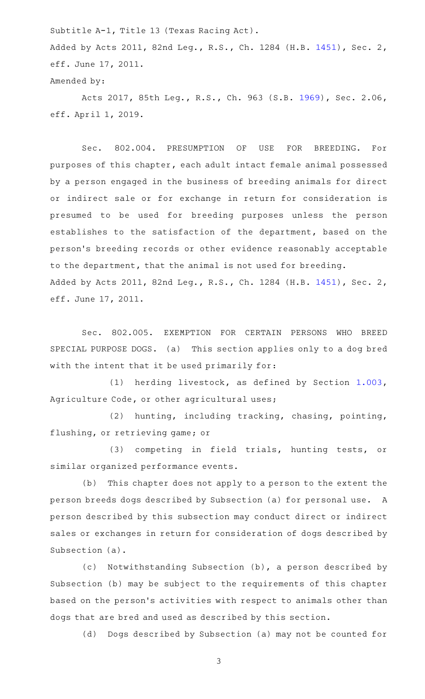Subtitle A-1, Title 13 (Texas Racing Act). Added by Acts 2011, 82nd Leg., R.S., Ch. 1284 (H.B. [1451\)](http://www.legis.state.tx.us/tlodocs/82R/billtext/html/HB01451F.HTM), Sec. 2, eff. June 17, 2011. Amended by:

Acts 2017, 85th Leg., R.S., Ch. 963 (S.B. [1969\)](http://www.legis.state.tx.us/tlodocs/85R/billtext/html/SB01969F.HTM), Sec. 2.06, eff. April 1, 2019.

Sec. 802.004. PRESUMPTION OF USE FOR BREEDING. For purposes of this chapter, each adult intact female animal possessed by a person engaged in the business of breeding animals for direct or indirect sale or for exchange in return for consideration is presumed to be used for breeding purposes unless the person establishes to the satisfaction of the department, based on the person 's breeding records or other evidence reasonably acceptable to the department, that the animal is not used for breeding. Added by Acts 2011, 82nd Leg., R.S., Ch. 1284 (H.B. [1451\)](http://www.legis.state.tx.us/tlodocs/82R/billtext/html/HB01451F.HTM), Sec. 2, eff. June 17, 2011.

Sec. 802.005. EXEMPTION FOR CERTAIN PERSONS WHO BREED SPECIAL PURPOSE DOGS. (a) This section applies only to a dog bred with the intent that it be used primarily for:

(1) herding livestock, as defined by Section [1.003](http://www.statutes.legis.state.tx.us/GetStatute.aspx?Code=AG&Value=1.003), Agriculture Code, or other agricultural uses;

(2) hunting, including tracking, chasing, pointing, flushing, or retrieving game; or

(3) competing in field trials, hunting tests, or similar organized performance events.

(b) This chapter does not apply to a person to the extent the person breeds dogs described by Subsection (a) for personal use. A person described by this subsection may conduct direct or indirect sales or exchanges in return for consideration of dogs described by Subsection (a).

(c) Notwithstanding Subsection (b), a person described by Subsection (b) may be subject to the requirements of this chapter based on the person 's activities with respect to animals other than dogs that are bred and used as described by this section.

(d) Dogs described by Subsection (a) may not be counted for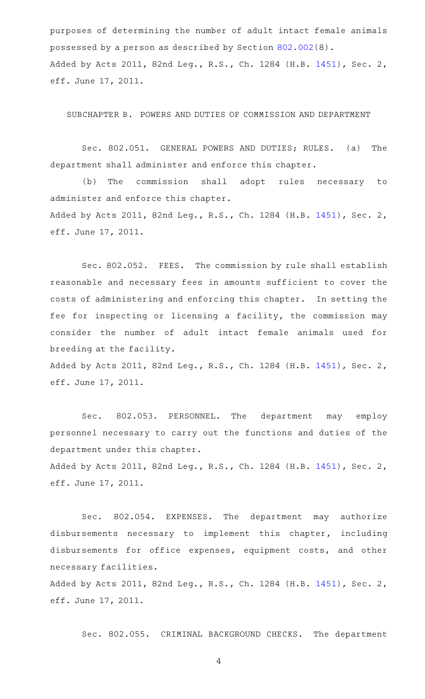purposes of determining the number of adult intact female animals possessed by a person as described by Section [802.002\(](http://www.statutes.legis.state.tx.us/GetStatute.aspx?Code=OC&Value=802.002)8). Added by Acts 2011, 82nd Leg., R.S., Ch. 1284 (H.B. [1451\)](http://www.legis.state.tx.us/tlodocs/82R/billtext/html/HB01451F.HTM), Sec. 2, eff. June 17, 2011.

SUBCHAPTER B. POWERS AND DUTIES OF COMMISSION AND DEPARTMENT

Sec. 802.051. GENERAL POWERS AND DUTIES; RULES. (a) The department shall administer and enforce this chapter.

(b) The commission shall adopt rules necessary to administer and enforce this chapter. Added by Acts 2011, 82nd Leg., R.S., Ch. 1284 (H.B. [1451\)](http://www.legis.state.tx.us/tlodocs/82R/billtext/html/HB01451F.HTM), Sec. 2, eff. June 17, 2011.

Sec. 802.052. FEES. The commission by rule shall establish reasonable and necessary fees in amounts sufficient to cover the costs of administering and enforcing this chapter. In setting the fee for inspecting or licensing a facility, the commission may consider the number of adult intact female animals used for breeding at the facility.

Added by Acts 2011, 82nd Leg., R.S., Ch. 1284 (H.B. [1451\)](http://www.legis.state.tx.us/tlodocs/82R/billtext/html/HB01451F.HTM), Sec. 2, eff. June 17, 2011.

Sec. 802.053. PERSONNEL. The department may employ personnel necessary to carry out the functions and duties of the department under this chapter. Added by Acts 2011, 82nd Leg., R.S., Ch. 1284 (H.B. [1451\)](http://www.legis.state.tx.us/tlodocs/82R/billtext/html/HB01451F.HTM), Sec. 2,

eff. June 17, 2011.

Sec. 802.054. EXPENSES. The department may authorize disbursements necessary to implement this chapter, including disbursements for office expenses, equipment costs, and other necessary facilities.

Added by Acts 2011, 82nd Leg., R.S., Ch. 1284 (H.B. [1451\)](http://www.legis.state.tx.us/tlodocs/82R/billtext/html/HB01451F.HTM), Sec. 2, eff. June 17, 2011.

Sec. 802.055. CRIMINAL BACKGROUND CHECKS. The department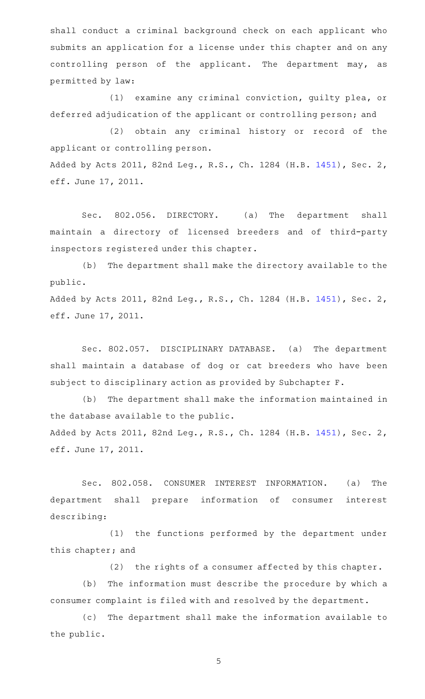shall conduct a criminal background check on each applicant who submits an application for a license under this chapter and on any controlling person of the applicant. The department may, as permitted by law:

 $(1)$  examine any criminal conviction, quilty plea, or deferred adjudication of the applicant or controlling person; and

(2) obtain any criminal history or record of the applicant or controlling person. Added by Acts 2011, 82nd Leg., R.S., Ch. 1284 (H.B. [1451\)](http://www.legis.state.tx.us/tlodocs/82R/billtext/html/HB01451F.HTM), Sec. 2, eff. June 17, 2011.

Sec. 802.056. DIRECTORY. (a) The department shall maintain a directory of licensed breeders and of third-party inspectors registered under this chapter.

(b) The department shall make the directory available to the public.

Added by Acts 2011, 82nd Leg., R.S., Ch. 1284 (H.B. [1451\)](http://www.legis.state.tx.us/tlodocs/82R/billtext/html/HB01451F.HTM), Sec. 2, eff. June 17, 2011.

Sec. 802.057. DISCIPLINARY DATABASE. (a) The department shall maintain a database of dog or cat breeders who have been subject to disciplinary action as provided by Subchapter F.

(b) The department shall make the information maintained in the database available to the public. Added by Acts 2011, 82nd Leg., R.S., Ch. 1284 (H.B. [1451\)](http://www.legis.state.tx.us/tlodocs/82R/billtext/html/HB01451F.HTM), Sec. 2, eff. June 17, 2011.

Sec. 802.058. CONSUMER INTEREST INFORMATION. (a) The department shall prepare information of consumer interest describing:

(1) the functions performed by the department under this chapter; and

 $(2)$  the rights of a consumer affected by this chapter.

(b) The information must describe the procedure by which a consumer complaint is filed with and resolved by the department.

(c) The department shall make the information available to the public.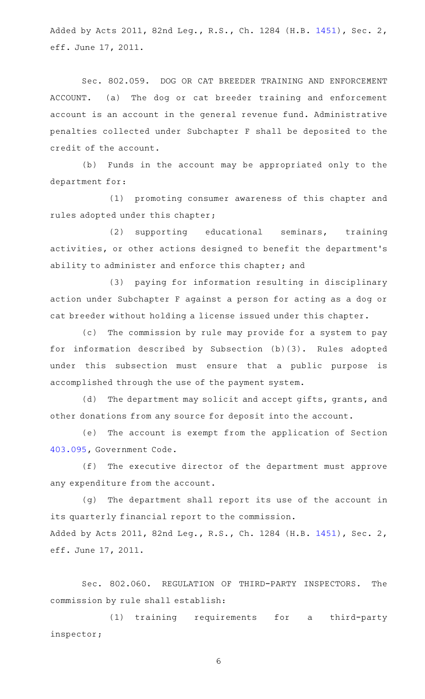Added by Acts 2011, 82nd Leg., R.S., Ch. 1284 (H.B. [1451\)](http://www.legis.state.tx.us/tlodocs/82R/billtext/html/HB01451F.HTM), Sec. 2, eff. June 17, 2011.

Sec. 802.059. DOG OR CAT BREEDER TRAINING AND ENFORCEMENT ACCOUNT. (a) The dog or cat breeder training and enforcement account is an account in the general revenue fund. Administrative penalties collected under Subchapter F shall be deposited to the credit of the account.

(b) Funds in the account may be appropriated only to the department for:

(1) promoting consumer awareness of this chapter and rules adopted under this chapter;

(2) supporting educational seminars, training activities, or other actions designed to benefit the department 's ability to administer and enforce this chapter; and

(3) paying for information resulting in disciplinary action under Subchapter F against a person for acting as a dog or cat breeder without holding a license issued under this chapter.

(c) The commission by rule may provide for a system to pay for information described by Subsection  $(b)(3)$ . Rules adopted under this subsection must ensure that a public purpose is accomplished through the use of the payment system.

(d) The department may solicit and accept gifts, grants, and other donations from any source for deposit into the account.

(e) The account is exempt from the application of Section [403.095,](http://www.statutes.legis.state.tx.us/GetStatute.aspx?Code=GV&Value=403.095) Government Code.

(f) The executive director of the department must approve any expenditure from the account.

 $(q)$  The department shall report its use of the account in its quarterly financial report to the commission. Added by Acts 2011, 82nd Leg., R.S., Ch. 1284 (H.B. [1451\)](http://www.legis.state.tx.us/tlodocs/82R/billtext/html/HB01451F.HTM), Sec. 2, eff. June 17, 2011.

Sec. 802.060. REGULATION OF THIRD-PARTY INSPECTORS. The commission by rule shall establish:

(1) training requirements for a third-party inspector;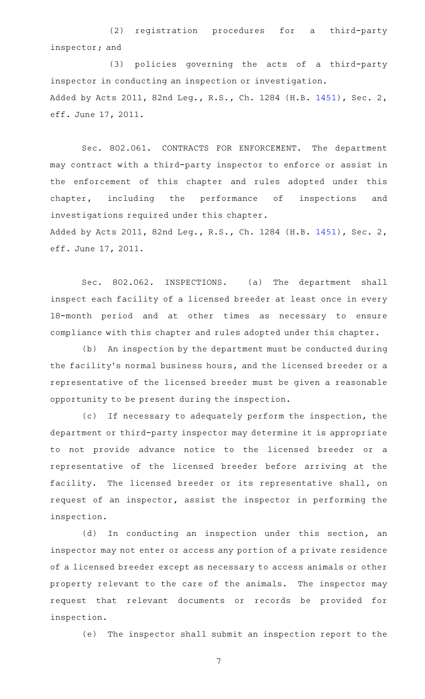(2) registration procedures for a third-party inspector; and

(3) policies governing the acts of a third-party inspector in conducting an inspection or investigation. Added by Acts 2011, 82nd Leg., R.S., Ch. 1284 (H.B. [1451\)](http://www.legis.state.tx.us/tlodocs/82R/billtext/html/HB01451F.HTM), Sec. 2, eff. June 17, 2011.

Sec. 802.061. CONTRACTS FOR ENFORCEMENT. The department may contract with a third-party inspector to enforce or assist in the enforcement of this chapter and rules adopted under this chapter, including the performance of inspections and investigations required under this chapter.

Added by Acts 2011, 82nd Leg., R.S., Ch. 1284 (H.B. [1451\)](http://www.legis.state.tx.us/tlodocs/82R/billtext/html/HB01451F.HTM), Sec. 2, eff. June 17, 2011.

Sec. 802.062. INSPECTIONS. (a) The department shall inspect each facility of a licensed breeder at least once in every 18-month period and at other times as necessary to ensure compliance with this chapter and rules adopted under this chapter.

(b) An inspection by the department must be conducted during the facility 's normal business hours, and the licensed breeder or a representative of the licensed breeder must be given a reasonable opportunity to be present during the inspection.

(c) If necessary to adequately perform the inspection, the department or third-party inspector may determine it is appropriate to not provide advance notice to the licensed breeder or a representative of the licensed breeder before arriving at the facility. The licensed breeder or its representative shall, on request of an inspector, assist the inspector in performing the inspection.

(d) In conducting an inspection under this section, an inspector may not enter or access any portion of a private residence of a licensed breeder except as necessary to access animals or other property relevant to the care of the animals. The inspector may request that relevant documents or records be provided for inspection.

(e) The inspector shall submit an inspection report to the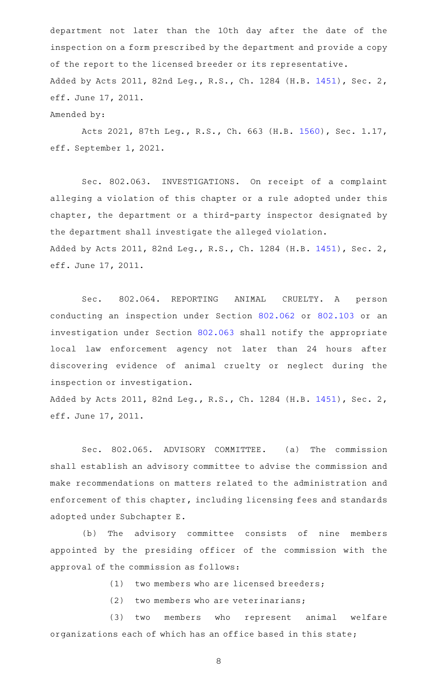department not later than the 10th day after the date of the inspection on a form prescribed by the department and provide a copy of the report to the licensed breeder or its representative. Added by Acts 2011, 82nd Leg., R.S., Ch. 1284 (H.B. [1451\)](http://www.legis.state.tx.us/tlodocs/82R/billtext/html/HB01451F.HTM), Sec. 2, eff. June 17, 2011. Amended by:

Acts 2021, 87th Leg., R.S., Ch. 663 (H.B. [1560\)](http://www.legis.state.tx.us/tlodocs/87R/billtext/html/HB01560F.HTM), Sec. 1.17, eff. September 1, 2021.

Sec. 802.063. INVESTIGATIONS. On receipt of a complaint alleging a violation of this chapter or a rule adopted under this chapter, the department or a third-party inspector designated by the department shall investigate the alleged violation. Added by Acts 2011, 82nd Leg., R.S., Ch. 1284 (H.B. [1451\)](http://www.legis.state.tx.us/tlodocs/82R/billtext/html/HB01451F.HTM), Sec. 2, eff. June 17, 2011.

Sec. 802.064. REPORTING ANIMAL CRUELTY. A person conducting an inspection under Section [802.062](http://www.statutes.legis.state.tx.us/GetStatute.aspx?Code=OC&Value=802.062) or [802.103](http://www.statutes.legis.state.tx.us/GetStatute.aspx?Code=OC&Value=802.103) or an investigation under Section [802.063](http://www.statutes.legis.state.tx.us/GetStatute.aspx?Code=OC&Value=802.063) shall notify the appropriate local law enforcement agency not later than 24 hours after discovering evidence of animal cruelty or neglect during the inspection or investigation.

Added by Acts 2011, 82nd Leg., R.S., Ch. 1284 (H.B. [1451\)](http://www.legis.state.tx.us/tlodocs/82R/billtext/html/HB01451F.HTM), Sec. 2, eff. June 17, 2011.

Sec. 802.065. ADVISORY COMMITTEE. (a) The commission shall establish an advisory committee to advise the commission and make recommendations on matters related to the administration and enforcement of this chapter, including licensing fees and standards adopted under Subchapter E.

(b) The advisory committee consists of nine members appointed by the presiding officer of the commission with the approval of the commission as follows:

 $(1)$  two members who are licensed breeders;

 $(2)$  two members who are veterinarians;

(3) two members who represent animal welfare organizations each of which has an office based in this state;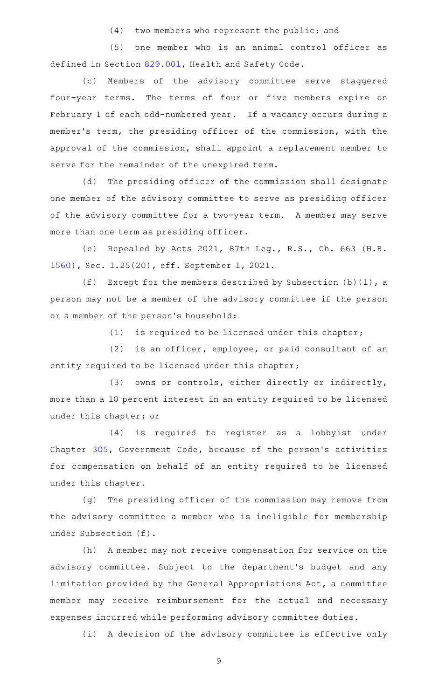$(4)$  two members who represent the public; and

(5) one member who is an animal control officer as defined in Section [829.001,](http://www.statutes.legis.state.tx.us/GetStatute.aspx?Code=HS&Value=829.001) Health and Safety Code.

(c) Members of the advisory committee serve staggered four-year terms. The terms of four or five members expire on February 1 of each odd-numbered year. If a vacancy occurs during a member 's term, the presiding officer of the commission, with the approval of the commission, shall appoint a replacement member to serve for the remainder of the unexpired term.

(d) The presiding officer of the commission shall designate one member of the advisory committee to serve as presiding officer of the advisory committee for a two-year term. A member may serve more than one term as presiding officer.

(e) Repealed by Acts 2021, 87th Leg., R.S., Ch. 663 (H.B. [1560](http://www.legis.state.tx.us/tlodocs/87R/billtext/html/HB01560F.HTM)), Sec. 1.25(20), eff. September 1, 2021.

(f) Except for the members described by Subsection  $(b)(1)$ , a person may not be a member of the advisory committee if the person or a member of the person 's household:

(1) is required to be licensed under this chapter;

(2) is an officer, employee, or paid consultant of an entity required to be licensed under this chapter;

(3) owns or controls, either directly or indirectly, more than a 10 percent interest in an entity required to be licensed under this chapter; or

(4) is required to register as a lobbyist under Chapter [305,](http://www.statutes.legis.state.tx.us/GetStatute.aspx?Code=GV&Value=305) Government Code, because of the person 's activities for compensation on behalf of an entity required to be licensed under this chapter.

(g) The presiding officer of the commission may remove from the advisory committee a member who is ineligible for membership under Subsection (f).

(h) A member may not receive compensation for service on the advisory committee. Subject to the department 's budget and any limitation provided by the General Appropriations Act, a committee member may receive reimbursement for the actual and necessary expenses incurred while performing advisory committee duties.

(i) A decision of the advisory committee is effective only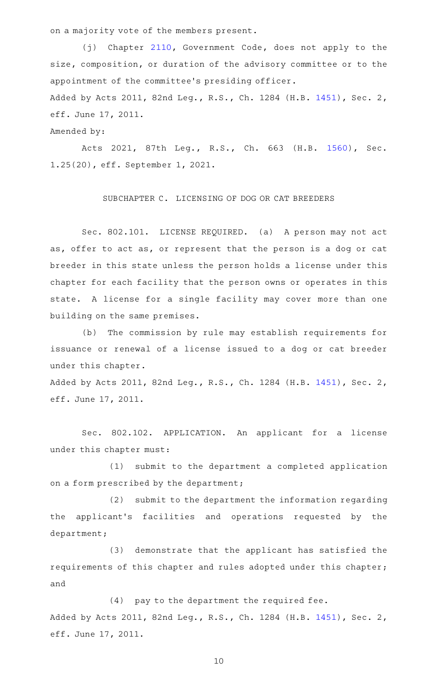on a majority vote of the members present.

(j) Chapter [2110](http://www.statutes.legis.state.tx.us/GetStatute.aspx?Code=GV&Value=2110), Government Code, does not apply to the size, composition, or duration of the advisory committee or to the appointment of the committee 's presiding officer.

Added by Acts 2011, 82nd Leg., R.S., Ch. 1284 (H.B. [1451\)](http://www.legis.state.tx.us/tlodocs/82R/billtext/html/HB01451F.HTM), Sec. 2, eff. June 17, 2011.

Amended by:

Acts 2021, 87th Leg., R.S., Ch. 663 (H.B. [1560\)](http://www.legis.state.tx.us/tlodocs/87R/billtext/html/HB01560F.HTM), Sec. 1.25(20), eff. September 1, 2021.

SUBCHAPTER C. LICENSING OF DOG OR CAT BREEDERS

Sec. 802.101. LICENSE REQUIRED. (a) A person may not act as, offer to act as, or represent that the person is a dog or cat breeder in this state unless the person holds a license under this chapter for each facility that the person owns or operates in this state. A license for a single facility may cover more than one building on the same premises.

(b) The commission by rule may establish requirements for issuance or renewal of a license issued to a dog or cat breeder under this chapter.

Added by Acts 2011, 82nd Leg., R.S., Ch. 1284 (H.B. [1451\)](http://www.legis.state.tx.us/tlodocs/82R/billtext/html/HB01451F.HTM), Sec. 2, eff. June 17, 2011.

Sec. 802.102. APPLICATION. An applicant for a license under this chapter must:

(1) submit to the department a completed application on a form prescribed by the department;

(2) submit to the department the information regarding the applicant 's facilities and operations requested by the department;

(3) demonstrate that the applicant has satisfied the requirements of this chapter and rules adopted under this chapter; and

 $(4)$  pay to the department the required fee. Added by Acts 2011, 82nd Leg., R.S., Ch. 1284 (H.B. [1451\)](http://www.legis.state.tx.us/tlodocs/82R/billtext/html/HB01451F.HTM), Sec. 2, eff. June 17, 2011.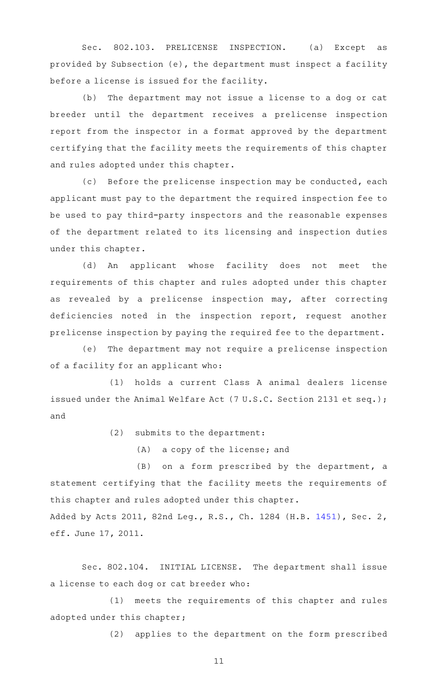Sec. 802.103. PRELICENSE INSPECTION. (a) Except as provided by Subsection (e), the department must inspect a facility before a license is issued for the facility.

(b) The department may not issue a license to a dog or cat breeder until the department receives a prelicense inspection report from the inspector in a format approved by the department certifying that the facility meets the requirements of this chapter and rules adopted under this chapter.

(c) Before the prelicense inspection may be conducted, each applicant must pay to the department the required inspection fee to be used to pay third-party inspectors and the reasonable expenses of the department related to its licensing and inspection duties under this chapter.

(d) An applicant whose facility does not meet the requirements of this chapter and rules adopted under this chapter as revealed by a prelicense inspection may, after correcting deficiencies noted in the inspection report, request another prelicense inspection by paying the required fee to the department.

(e) The department may not require a prelicense inspection of a facility for an applicant who:

(1) holds a current Class A animal dealers license issued under the Animal Welfare Act (7 U.S.C. Section 2131 et seq.); and

 $(2)$  submits to the department:

 $(A)$  a copy of the license; and

 $(B)$  on a form prescribed by the department, a statement certifying that the facility meets the requirements of this chapter and rules adopted under this chapter.

Added by Acts 2011, 82nd Leg., R.S., Ch. 1284 (H.B. [1451\)](http://www.legis.state.tx.us/tlodocs/82R/billtext/html/HB01451F.HTM), Sec. 2, eff. June 17, 2011.

Sec. 802.104. INITIAL LICENSE. The department shall issue a license to each dog or cat breeder who:

(1) meets the requirements of this chapter and rules adopted under this chapter;

(2) applies to the department on the form prescribed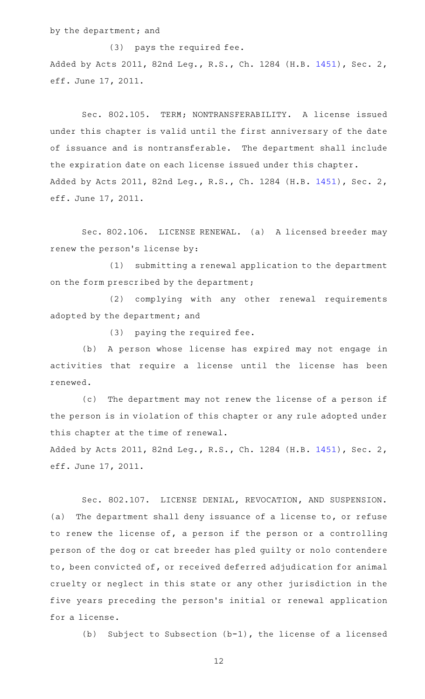by the department; and

(3) pays the required fee. Added by Acts 2011, 82nd Leg., R.S., Ch. 1284 (H.B. [1451\)](http://www.legis.state.tx.us/tlodocs/82R/billtext/html/HB01451F.HTM), Sec. 2, eff. June 17, 2011.

Sec. 802.105. TERM; NONTRANSFERABILITY. A license issued under this chapter is valid until the first anniversary of the date of issuance and is nontransferable. The department shall include the expiration date on each license issued under this chapter. Added by Acts 2011, 82nd Leg., R.S., Ch. 1284 (H.B. [1451\)](http://www.legis.state.tx.us/tlodocs/82R/billtext/html/HB01451F.HTM), Sec. 2, eff. June 17, 2011.

Sec. 802.106. LICENSE RENEWAL. (a) A licensed breeder may renew the person's license by:

 $(1)$  submitting a renewal application to the department on the form prescribed by the department;

(2) complying with any other renewal requirements adopted by the department; and

(3) paying the required fee.

(b) A person whose license has expired may not engage in activities that require a license until the license has been renewed.

(c) The department may not renew the license of a person if the person is in violation of this chapter or any rule adopted under this chapter at the time of renewal.

Added by Acts 2011, 82nd Leg., R.S., Ch. 1284 (H.B. [1451\)](http://www.legis.state.tx.us/tlodocs/82R/billtext/html/HB01451F.HTM), Sec. 2, eff. June 17, 2011.

Sec. 802.107. LICENSE DENIAL, REVOCATION, AND SUSPENSION. (a) The department shall deny issuance of a license to, or refuse to renew the license of, a person if the person or a controlling person of the dog or cat breeder has pled guilty or nolo contendere to, been convicted of, or received deferred adjudication for animal cruelty or neglect in this state or any other jurisdiction in the five years preceding the person 's initial or renewal application for a license.

(b) Subject to Subsection  $(b-1)$ , the license of a licensed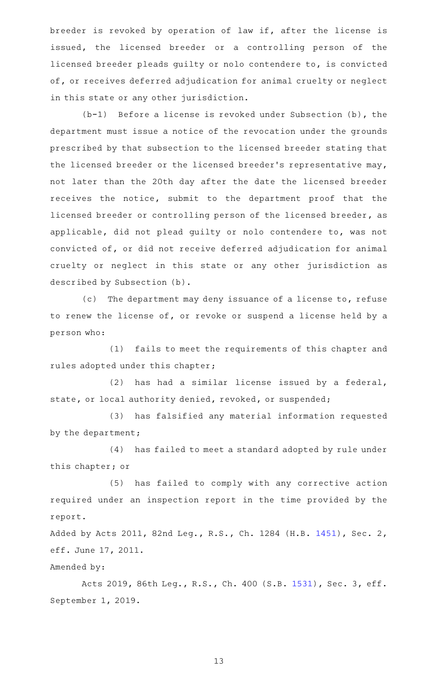breeder is revoked by operation of law if, after the license is issued, the licensed breeder or a controlling person of the licensed breeder pleads guilty or nolo contendere to, is convicted of, or receives deferred adjudication for animal cruelty or neglect in this state or any other jurisdiction.

 $(b-1)$  Before a license is revoked under Subsection (b), the department must issue a notice of the revocation under the grounds prescribed by that subsection to the licensed breeder stating that the licensed breeder or the licensed breeder 's representative may, not later than the 20th day after the date the licensed breeder receives the notice, submit to the department proof that the licensed breeder or controlling person of the licensed breeder, as applicable, did not plead guilty or nolo contendere to, was not convicted of, or did not receive deferred adjudication for animal cruelty or neglect in this state or any other jurisdiction as described by Subsection (b).

(c) The department may deny issuance of a license to, refuse to renew the license of, or revoke or suspend a license held by a person who:

(1) fails to meet the requirements of this chapter and rules adopted under this chapter;

 $(2)$  has had a similar license issued by a federal, state, or local authority denied, revoked, or suspended;

(3) has falsified any material information requested by the department;

(4) has failed to meet a standard adopted by rule under this chapter; or

(5) has failed to comply with any corrective action required under an inspection report in the time provided by the report.

Added by Acts 2011, 82nd Leg., R.S., Ch. 1284 (H.B. [1451\)](http://www.legis.state.tx.us/tlodocs/82R/billtext/html/HB01451F.HTM), Sec. 2, eff. June 17, 2011.

Amended by:

Acts 2019, 86th Leg., R.S., Ch. 400 (S.B. [1531](http://www.legis.state.tx.us/tlodocs/86R/billtext/html/SB01531F.HTM)), Sec. 3, eff. September 1, 2019.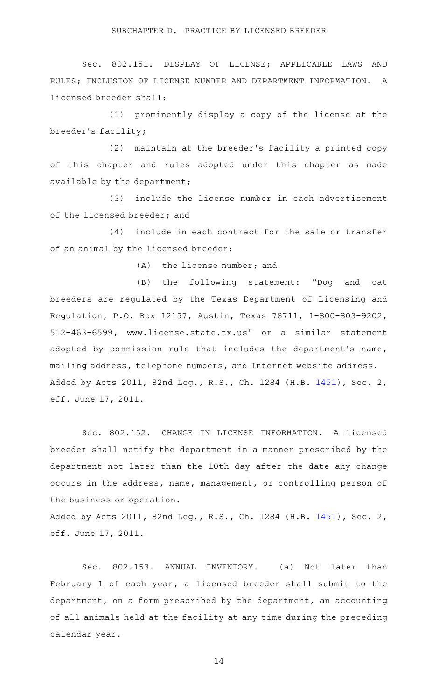Sec. 802.151. DISPLAY OF LICENSE; APPLICABLE LAWS AND RULES; INCLUSION OF LICENSE NUMBER AND DEPARTMENT INFORMATION. A licensed breeder shall:

(1) prominently display a copy of the license at the breeder 's facility;

(2) maintain at the breeder's facility a printed copy of this chapter and rules adopted under this chapter as made available by the department;

(3) include the license number in each advertisement of the licensed breeder; and

(4) include in each contract for the sale or transfer of an animal by the licensed breeder:

 $(A)$  the license number; and

(B) the following statement: "Dog and cat breeders are regulated by the Texas Department of Licensing and Regulation, P.O. Box 12157, Austin, Texas 78711, 1-800-803-9202, 512-463-6599, www.license.state.tx.us" or a similar statement adopted by commission rule that includes the department's name, mailing address, telephone numbers, and Internet website address. Added by Acts 2011, 82nd Leg., R.S., Ch. 1284 (H.B. [1451\)](http://www.legis.state.tx.us/tlodocs/82R/billtext/html/HB01451F.HTM), Sec. 2, eff. June 17, 2011.

Sec. 802.152. CHANGE IN LICENSE INFORMATION. A licensed breeder shall notify the department in a manner prescribed by the department not later than the 10th day after the date any change occurs in the address, name, management, or controlling person of the business or operation.

Added by Acts 2011, 82nd Leg., R.S., Ch. 1284 (H.B. [1451\)](http://www.legis.state.tx.us/tlodocs/82R/billtext/html/HB01451F.HTM), Sec. 2, eff. June 17, 2011.

Sec. 802.153. ANNUAL INVENTORY. (a) Not later than February 1 of each year, a licensed breeder shall submit to the department, on a form prescribed by the department, an accounting of all animals held at the facility at any time during the preceding calendar year.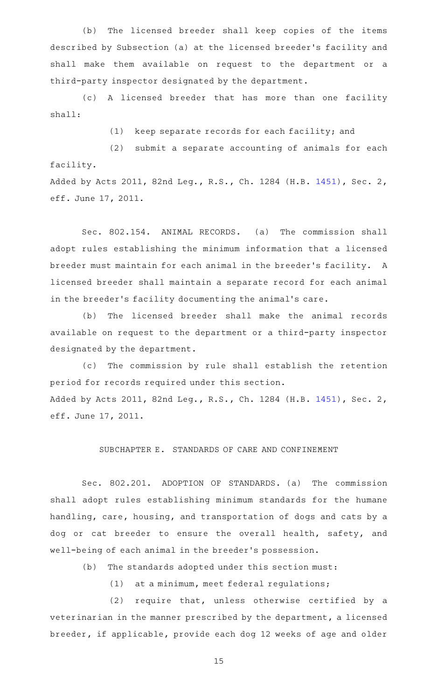(b) The licensed breeder shall keep copies of the items described by Subsection (a) at the licensed breeder 's facility and shall make them available on request to the department or a third-party inspector designated by the department.

(c)AAA licensed breeder that has more than one facility shall:

(1) keep separate records for each facility; and

(2) submit a separate accounting of animals for each facility.

Added by Acts 2011, 82nd Leg., R.S., Ch. 1284 (H.B. [1451\)](http://www.legis.state.tx.us/tlodocs/82R/billtext/html/HB01451F.HTM), Sec. 2, eff. June 17, 2011.

Sec. 802.154. ANIMAL RECORDS. (a) The commission shall adopt rules establishing the minimum information that a licensed breeder must maintain for each animal in the breeder's facility. A licensed breeder shall maintain a separate record for each animal in the breeder 's facility documenting the animal 's care.

(b) The licensed breeder shall make the animal records available on request to the department or a third-party inspector designated by the department.

(c) The commission by rule shall establish the retention period for records required under this section. Added by Acts 2011, 82nd Leg., R.S., Ch. 1284 (H.B. [1451\)](http://www.legis.state.tx.us/tlodocs/82R/billtext/html/HB01451F.HTM), Sec. 2, eff. June 17, 2011.

SUBCHAPTER E. STANDARDS OF CARE AND CONFINEMENT

Sec. 802.201. ADOPTION OF STANDARDS. (a) The commission shall adopt rules establishing minimum standards for the humane handling, care, housing, and transportation of dogs and cats by a dog or cat breeder to ensure the overall health, safety, and well-being of each animal in the breeder 's possession.

(b) The standards adopted under this section must:

 $(1)$  at a minimum, meet federal regulations;

 $(2)$  require that, unless otherwise certified by a veterinarian in the manner prescribed by the department, a licensed breeder, if applicable, provide each dog 12 weeks of age and older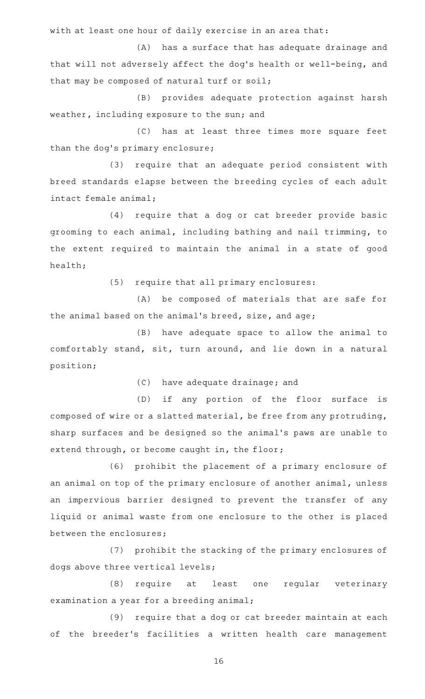with at least one hour of daily exercise in an area that:

(A) has a surface that has adequate drainage and that will not adversely affect the dog's health or well-being, and that may be composed of natural turf or soil;

(B) provides adequate protection against harsh weather, including exposure to the sun; and

(C) has at least three times more square feet than the dog's primary enclosure;

(3) require that an adequate period consistent with breed standards elapse between the breeding cycles of each adult intact female animal;

(4) require that a dog or cat breeder provide basic grooming to each animal, including bathing and nail trimming, to the extent required to maintain the animal in a state of good health;

(5) require that all primary enclosures:

(A) be composed of materials that are safe for the animal based on the animal 's breed, size, and age;

(B) have adequate space to allow the animal to comfortably stand, sit, turn around, and lie down in a natural position;

(C) have adequate drainage; and

(D) if any portion of the floor surface is composed of wire or a slatted material, be free from any protruding, sharp surfaces and be designed so the animal 's paws are unable to extend through, or become caught in, the floor;

(6) prohibit the placement of a primary enclosure of an animal on top of the primary enclosure of another animal, unless an impervious barrier designed to prevent the transfer of any liquid or animal waste from one enclosure to the other is placed between the enclosures;

(7) prohibit the stacking of the primary enclosures of dogs above three vertical levels;

(8) require at least one regular veterinary examination a year for a breeding animal;

(9) require that a dog or cat breeder maintain at each of the breeder 's facilities a written health care management